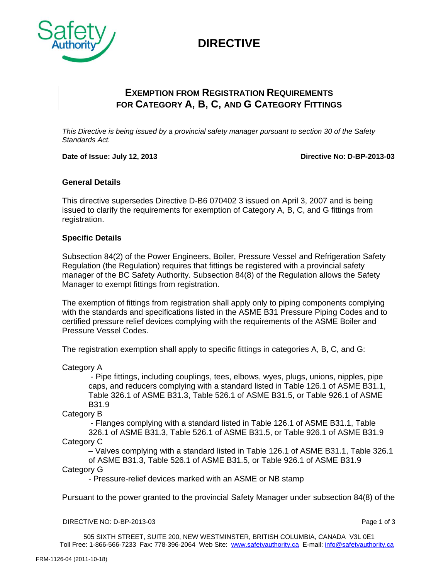# **DIRECTIVE**



## **EXEMPTION FROM REGISTRATION REQUIREMENTS FOR CATEGORY A, B, C, AND G CATEGORY FITTINGS**

*This Directive is being issued by a provincial safety manager pursuant to section 30 of the Safety Standards Act.*

**Date of Issue: July 12, 2013 Directive NO: D-BP-2013-03**

### **General Details**

This directive supersedes Directive D-B6 070402 3 issued on April 3, 2007 and is being issued to clarify the requirements for exemption of Category A, B, C, and G fittings from registration.

### **Specific Details**

Subsection 84(2) of the Power Engineers, Boiler, Pressure Vessel and Refrigeration Safety Regulation (the Regulation) requires that fittings be registered with a provincial safety manager of the BC Safety Authority. Subsection 84(8) of the Regulation allows the Safety Manager to exempt fittings from registration.

The exemption of fittings from registration shall apply only to piping components complying with the standards and specifications listed in the ASME B31 Pressure Piping Codes and to certified pressure relief devices complying with the requirements of the ASME Boiler and Pressure Vessel Codes.

The registration exemption shall apply to specific fittings in categories A, B, C, and G:

Category A

- Pipe fittings, including couplings, tees, elbows, wyes, plugs, unions, nipples, pipe caps, and reducers complying with a standard listed in Table 126.1 of ASME B31.1, Table 326.1 of ASME B31.3, Table 526.1 of ASME B31.5, or Table 926.1 of ASME B31.9

Category B

- Flanges complying with a standard listed in Table 126.1 of ASME B31.1, Table 326.1 of ASME B31.3, Table 526.1 of ASME B31.5, or Table 926.1 of ASME B31.9 Category C

– Valves complying with a standard listed in Table 126.1 of ASME B31.1, Table 326.1

of ASME B31.3, Table 526.1 of ASME B31.5, or Table 926.1 of ASME B31.9 Category G

- Pressure-relief devices marked with an ASME or NB stamp

Pursuant to the power granted to the provincial Safety Manager under subsection 84(8) of the

#### DIRECTIVE NO: D-BP-2013-03 Page 1 of 3

505 SIXTH STREET, SUITE 200, NEW WESTMINSTER, BRITISH COLUMBIA, CANADA V3L 0E1 Toll Free: 1-866-566-7233 Fax: 778-396-2064 Web Site: www.safetyauthority.ca E-mail: info@safetyauthority.ca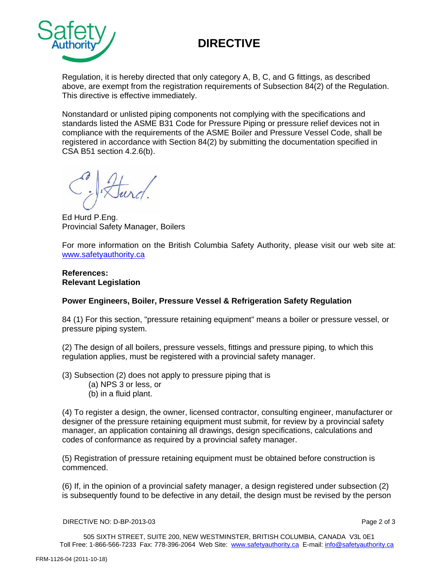# **DIRECTIVE**



Regulation, it is hereby directed that only category A, B, C, and G fittings, as described above, are exempt from the registration requirements of Subsection 84(2) of the Regulation. This directive is effective immediately.

Nonstandard or unlisted piping components not complying with the specifications and standards listed the ASME B31 Code for Pressure Piping or pressure relief devices not in compliance with the requirements of the ASME Boiler and Pressure Vessel Code, shall be registered in accordance with Section 84(2) by submitting the documentation specified in CSA B51 section 4.2.6(b).

Ed Hurd P.Eng. Provincial Safety Manager, Boilers

For more information on the British Columbia Safety Authority, please visit our web site at: [www.safetyauthority.ca](http://www.safetyauthority.ca/)

#### **References: Relevant Legislation**

### **Power Engineers, Boiler, Pressure Vessel & Refrigeration Safety Regulation**

84 (1) For this section, "pressure retaining equipment" means a boiler or pressure vessel, or pressure piping system.

(2) The design of all boilers, pressure vessels, fittings and pressure piping, to which this regulation applies, must be registered with a provincial safety manager.

(3) Subsection (2) does not apply to pressure piping that is

- (a) NPS 3 or less, or
- (b) in a fluid plant.

(4) To register a design, the owner, licensed contractor, consulting engineer, manufacturer or designer of the pressure retaining equipment must submit, for review by a provincial safety manager, an application containing all drawings, design specifications, calculations and codes of conformance as required by a provincial safety manager.

(5) Registration of pressure retaining equipment must be obtained before construction is commenced.

(6) If, in the opinion of a provincial safety manager, a design registered under subsection (2) is subsequently found to be defective in any detail, the design must be revised by the person

#### DIRECTIVE NO: D-BP-2013-03 Page 2 of 3

505 SIXTH STREET, SUITE 200, NEW WESTMINSTER, BRITISH COLUMBIA, CANADA V3L 0E1 Toll Free: 1-866-566-7233 Fax: 778-396-2064 Web Site: www.safetyauthority.ca E-mail: info@safetyauthority.ca